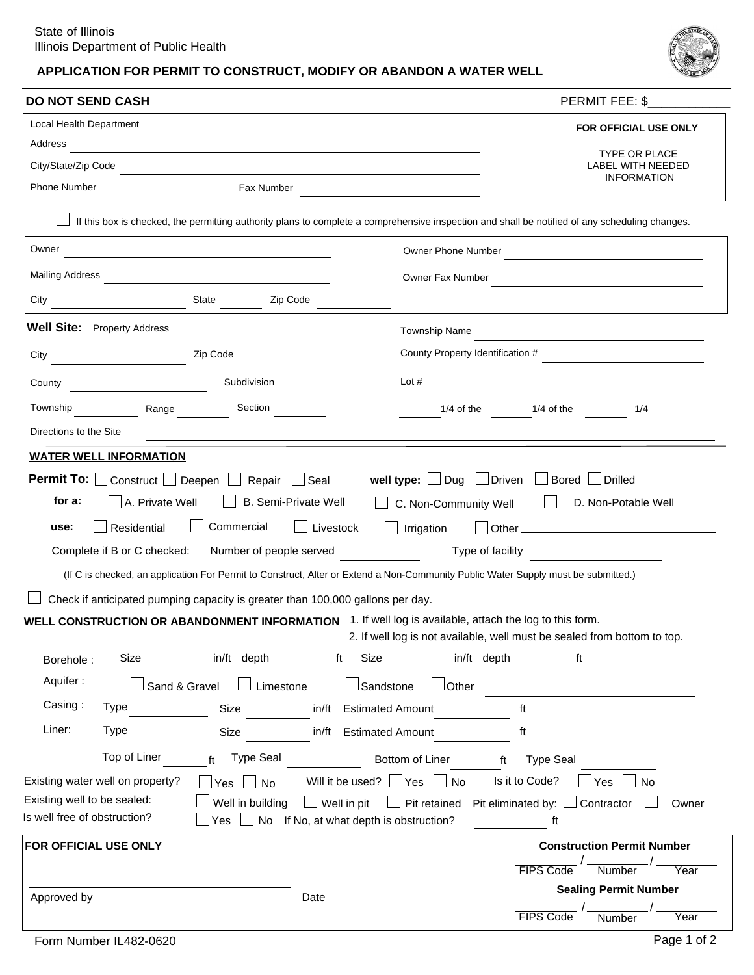# APPLICATION FOR PERMIT TO CONSTRUCT, MODIFY OR ABANDON A WATER WELL



| TYPE OR PLACE<br><b>LABEL WITH NEEDED</b><br><b>INFORMATION</b><br>Fax Number<br>If this box is checked, the permitting authority plans to complete a comprehensive inspection and shall be notified of any scheduling changes.<br>Owner Phone Number<br><u> 1980 - Johann Stein, marwolaethau a bhann an t-Amhair ann an t-Amhair an t-Amhair an t-Amhair an t-Amhair an</u><br>Owner Fax Number<br>$\frac{1}{2}$ State $\frac{1}{2}$<br>Zip Code<br>City<br><b>Well Site:</b> Property Address<br><u> 1980 - Johann Barbara, martin a</u><br><b>Township Name</b><br>the control of the control of the control of the control of<br>County Property Identification #<br>Zip Code<br>Subdivision<br>Lot $#$<br>County<br><u> 1980 - Jan Stein Berlin, amerikansk politiker </u><br>Township<br>Section<br>$1/4$ of the<br>1/4<br>Range<br>$1/4$ of the<br>Directions to the Site<br><b>WATER WELL INFORMATION</b><br>well type: $\Box$ Dug $\Box$ Driven $\Box$<br><b>Permit To:</b> Construct   Deepen   Repair   Seal<br>Bored Drilled<br><b>B. Semi-Private Well</b><br>for a:<br>A. Private Well<br>C. Non-Community Well<br>D. Non-Potable Well<br>Commercial<br>Residential<br>Livestock<br>Irrigation<br>use:<br>$\mathbb{R}$<br>Number of people served<br>Complete if B or C checked:<br>Type of facility<br>(If C is checked, an application For Permit to Construct, Alter or Extend a Non-Community Public Water Supply must be submitted.)<br>Check if anticipated pumping capacity is greater than 100,000 gallons per day.<br>WELL CONSTRUCTION OR ABANDONMENT INFORMATION 1. If well log is available, attach the log to this form.<br>2. If well log is not available, well must be sealed from bottom to top.<br>in/ft depth<br>Size<br>in/ft depth<br>Size<br>ft<br>ft<br>Borehole:<br>Aquifer:<br>$\Box$ Limestone<br><b>LSandstone</b><br>Sand & Gravel<br>$\lrcorner$ Other<br>Casing:<br><b>Type</b><br>in/ft Estimated Amount<br>Size<br>ft<br>Liner:<br><b>Type</b><br>in/ft Estimated Amount<br>Size<br>ft<br>Top of Liner<br>ft Type Seal<br>Bottom of Liner<br><b>Type Seal</b><br>ft<br>Will it be used? $\Box$ Yes $\Box$ No<br>Is it to Code?<br>Existing water well on property?<br>Yes<br><b>No</b><br>Yes<br>No<br>Existing well to be sealed:<br>Well in building<br>$\Box$ Well in pit<br>$\Box$ Pit retained<br>Pit eliminated by: $\Box$ Contractor<br>Is well free of obstruction?<br>Yes $\Box$ No If No, at what depth is obstruction?<br>ft<br>FOR OFFICIAL USE ONLY<br><b>Construction Permit Number</b><br>Number<br><b>FIPS Code</b><br><b>Sealing Permit Number</b><br>Approved by<br>Date | <b>DO NOT SEND CASH</b> |  | PERMIT FEE: \$        |  |
|-------------------------------------------------------------------------------------------------------------------------------------------------------------------------------------------------------------------------------------------------------------------------------------------------------------------------------------------------------------------------------------------------------------------------------------------------------------------------------------------------------------------------------------------------------------------------------------------------------------------------------------------------------------------------------------------------------------------------------------------------------------------------------------------------------------------------------------------------------------------------------------------------------------------------------------------------------------------------------------------------------------------------------------------------------------------------------------------------------------------------------------------------------------------------------------------------------------------------------------------------------------------------------------------------------------------------------------------------------------------------------------------------------------------------------------------------------------------------------------------------------------------------------------------------------------------------------------------------------------------------------------------------------------------------------------------------------------------------------------------------------------------------------------------------------------------------------------------------------------------------------------------------------------------------------------------------------------------------------------------------------------------------------------------------------------------------------------------------------------------------------------------------------------------------------------------------------------------------------------------------------------------------------------------------------------------------------------------------------------------------------------------------------------------------------------------------------------------------------------------------------------------------------------------------------------------------------------------------------------------------------------------|-------------------------|--|-----------------------|--|
|                                                                                                                                                                                                                                                                                                                                                                                                                                                                                                                                                                                                                                                                                                                                                                                                                                                                                                                                                                                                                                                                                                                                                                                                                                                                                                                                                                                                                                                                                                                                                                                                                                                                                                                                                                                                                                                                                                                                                                                                                                                                                                                                                                                                                                                                                                                                                                                                                                                                                                                                                                                                                                           | Local Health Department |  | FOR OFFICIAL USE ONLY |  |
|                                                                                                                                                                                                                                                                                                                                                                                                                                                                                                                                                                                                                                                                                                                                                                                                                                                                                                                                                                                                                                                                                                                                                                                                                                                                                                                                                                                                                                                                                                                                                                                                                                                                                                                                                                                                                                                                                                                                                                                                                                                                                                                                                                                                                                                                                                                                                                                                                                                                                                                                                                                                                                           | Address                 |  |                       |  |
|                                                                                                                                                                                                                                                                                                                                                                                                                                                                                                                                                                                                                                                                                                                                                                                                                                                                                                                                                                                                                                                                                                                                                                                                                                                                                                                                                                                                                                                                                                                                                                                                                                                                                                                                                                                                                                                                                                                                                                                                                                                                                                                                                                                                                                                                                                                                                                                                                                                                                                                                                                                                                                           | City/State/Zip Code     |  |                       |  |
|                                                                                                                                                                                                                                                                                                                                                                                                                                                                                                                                                                                                                                                                                                                                                                                                                                                                                                                                                                                                                                                                                                                                                                                                                                                                                                                                                                                                                                                                                                                                                                                                                                                                                                                                                                                                                                                                                                                                                                                                                                                                                                                                                                                                                                                                                                                                                                                                                                                                                                                                                                                                                                           | <b>Phone Number</b>     |  |                       |  |
|                                                                                                                                                                                                                                                                                                                                                                                                                                                                                                                                                                                                                                                                                                                                                                                                                                                                                                                                                                                                                                                                                                                                                                                                                                                                                                                                                                                                                                                                                                                                                                                                                                                                                                                                                                                                                                                                                                                                                                                                                                                                                                                                                                                                                                                                                                                                                                                                                                                                                                                                                                                                                                           |                         |  |                       |  |
|                                                                                                                                                                                                                                                                                                                                                                                                                                                                                                                                                                                                                                                                                                                                                                                                                                                                                                                                                                                                                                                                                                                                                                                                                                                                                                                                                                                                                                                                                                                                                                                                                                                                                                                                                                                                                                                                                                                                                                                                                                                                                                                                                                                                                                                                                                                                                                                                                                                                                                                                                                                                                                           | Owner                   |  |                       |  |
|                                                                                                                                                                                                                                                                                                                                                                                                                                                                                                                                                                                                                                                                                                                                                                                                                                                                                                                                                                                                                                                                                                                                                                                                                                                                                                                                                                                                                                                                                                                                                                                                                                                                                                                                                                                                                                                                                                                                                                                                                                                                                                                                                                                                                                                                                                                                                                                                                                                                                                                                                                                                                                           | <b>Mailing Address</b>  |  |                       |  |
|                                                                                                                                                                                                                                                                                                                                                                                                                                                                                                                                                                                                                                                                                                                                                                                                                                                                                                                                                                                                                                                                                                                                                                                                                                                                                                                                                                                                                                                                                                                                                                                                                                                                                                                                                                                                                                                                                                                                                                                                                                                                                                                                                                                                                                                                                                                                                                                                                                                                                                                                                                                                                                           |                         |  |                       |  |
|                                                                                                                                                                                                                                                                                                                                                                                                                                                                                                                                                                                                                                                                                                                                                                                                                                                                                                                                                                                                                                                                                                                                                                                                                                                                                                                                                                                                                                                                                                                                                                                                                                                                                                                                                                                                                                                                                                                                                                                                                                                                                                                                                                                                                                                                                                                                                                                                                                                                                                                                                                                                                                           |                         |  |                       |  |
|                                                                                                                                                                                                                                                                                                                                                                                                                                                                                                                                                                                                                                                                                                                                                                                                                                                                                                                                                                                                                                                                                                                                                                                                                                                                                                                                                                                                                                                                                                                                                                                                                                                                                                                                                                                                                                                                                                                                                                                                                                                                                                                                                                                                                                                                                                                                                                                                                                                                                                                                                                                                                                           | City                    |  |                       |  |
|                                                                                                                                                                                                                                                                                                                                                                                                                                                                                                                                                                                                                                                                                                                                                                                                                                                                                                                                                                                                                                                                                                                                                                                                                                                                                                                                                                                                                                                                                                                                                                                                                                                                                                                                                                                                                                                                                                                                                                                                                                                                                                                                                                                                                                                                                                                                                                                                                                                                                                                                                                                                                                           |                         |  |                       |  |
|                                                                                                                                                                                                                                                                                                                                                                                                                                                                                                                                                                                                                                                                                                                                                                                                                                                                                                                                                                                                                                                                                                                                                                                                                                                                                                                                                                                                                                                                                                                                                                                                                                                                                                                                                                                                                                                                                                                                                                                                                                                                                                                                                                                                                                                                                                                                                                                                                                                                                                                                                                                                                                           |                         |  |                       |  |
|                                                                                                                                                                                                                                                                                                                                                                                                                                                                                                                                                                                                                                                                                                                                                                                                                                                                                                                                                                                                                                                                                                                                                                                                                                                                                                                                                                                                                                                                                                                                                                                                                                                                                                                                                                                                                                                                                                                                                                                                                                                                                                                                                                                                                                                                                                                                                                                                                                                                                                                                                                                                                                           |                         |  |                       |  |
|                                                                                                                                                                                                                                                                                                                                                                                                                                                                                                                                                                                                                                                                                                                                                                                                                                                                                                                                                                                                                                                                                                                                                                                                                                                                                                                                                                                                                                                                                                                                                                                                                                                                                                                                                                                                                                                                                                                                                                                                                                                                                                                                                                                                                                                                                                                                                                                                                                                                                                                                                                                                                                           |                         |  |                       |  |
|                                                                                                                                                                                                                                                                                                                                                                                                                                                                                                                                                                                                                                                                                                                                                                                                                                                                                                                                                                                                                                                                                                                                                                                                                                                                                                                                                                                                                                                                                                                                                                                                                                                                                                                                                                                                                                                                                                                                                                                                                                                                                                                                                                                                                                                                                                                                                                                                                                                                                                                                                                                                                                           |                         |  |                       |  |
|                                                                                                                                                                                                                                                                                                                                                                                                                                                                                                                                                                                                                                                                                                                                                                                                                                                                                                                                                                                                                                                                                                                                                                                                                                                                                                                                                                                                                                                                                                                                                                                                                                                                                                                                                                                                                                                                                                                                                                                                                                                                                                                                                                                                                                                                                                                                                                                                                                                                                                                                                                                                                                           |                         |  |                       |  |
|                                                                                                                                                                                                                                                                                                                                                                                                                                                                                                                                                                                                                                                                                                                                                                                                                                                                                                                                                                                                                                                                                                                                                                                                                                                                                                                                                                                                                                                                                                                                                                                                                                                                                                                                                                                                                                                                                                                                                                                                                                                                                                                                                                                                                                                                                                                                                                                                                                                                                                                                                                                                                                           |                         |  |                       |  |
|                                                                                                                                                                                                                                                                                                                                                                                                                                                                                                                                                                                                                                                                                                                                                                                                                                                                                                                                                                                                                                                                                                                                                                                                                                                                                                                                                                                                                                                                                                                                                                                                                                                                                                                                                                                                                                                                                                                                                                                                                                                                                                                                                                                                                                                                                                                                                                                                                                                                                                                                                                                                                                           |                         |  |                       |  |
|                                                                                                                                                                                                                                                                                                                                                                                                                                                                                                                                                                                                                                                                                                                                                                                                                                                                                                                                                                                                                                                                                                                                                                                                                                                                                                                                                                                                                                                                                                                                                                                                                                                                                                                                                                                                                                                                                                                                                                                                                                                                                                                                                                                                                                                                                                                                                                                                                                                                                                                                                                                                                                           |                         |  |                       |  |
|                                                                                                                                                                                                                                                                                                                                                                                                                                                                                                                                                                                                                                                                                                                                                                                                                                                                                                                                                                                                                                                                                                                                                                                                                                                                                                                                                                                                                                                                                                                                                                                                                                                                                                                                                                                                                                                                                                                                                                                                                                                                                                                                                                                                                                                                                                                                                                                                                                                                                                                                                                                                                                           |                         |  |                       |  |
|                                                                                                                                                                                                                                                                                                                                                                                                                                                                                                                                                                                                                                                                                                                                                                                                                                                                                                                                                                                                                                                                                                                                                                                                                                                                                                                                                                                                                                                                                                                                                                                                                                                                                                                                                                                                                                                                                                                                                                                                                                                                                                                                                                                                                                                                                                                                                                                                                                                                                                                                                                                                                                           |                         |  |                       |  |
|                                                                                                                                                                                                                                                                                                                                                                                                                                                                                                                                                                                                                                                                                                                                                                                                                                                                                                                                                                                                                                                                                                                                                                                                                                                                                                                                                                                                                                                                                                                                                                                                                                                                                                                                                                                                                                                                                                                                                                                                                                                                                                                                                                                                                                                                                                                                                                                                                                                                                                                                                                                                                                           |                         |  |                       |  |
|                                                                                                                                                                                                                                                                                                                                                                                                                                                                                                                                                                                                                                                                                                                                                                                                                                                                                                                                                                                                                                                                                                                                                                                                                                                                                                                                                                                                                                                                                                                                                                                                                                                                                                                                                                                                                                                                                                                                                                                                                                                                                                                                                                                                                                                                                                                                                                                                                                                                                                                                                                                                                                           |                         |  |                       |  |
|                                                                                                                                                                                                                                                                                                                                                                                                                                                                                                                                                                                                                                                                                                                                                                                                                                                                                                                                                                                                                                                                                                                                                                                                                                                                                                                                                                                                                                                                                                                                                                                                                                                                                                                                                                                                                                                                                                                                                                                                                                                                                                                                                                                                                                                                                                                                                                                                                                                                                                                                                                                                                                           |                         |  | Owner                 |  |
|                                                                                                                                                                                                                                                                                                                                                                                                                                                                                                                                                                                                                                                                                                                                                                                                                                                                                                                                                                                                                                                                                                                                                                                                                                                                                                                                                                                                                                                                                                                                                                                                                                                                                                                                                                                                                                                                                                                                                                                                                                                                                                                                                                                                                                                                                                                                                                                                                                                                                                                                                                                                                                           |                         |  |                       |  |
|                                                                                                                                                                                                                                                                                                                                                                                                                                                                                                                                                                                                                                                                                                                                                                                                                                                                                                                                                                                                                                                                                                                                                                                                                                                                                                                                                                                                                                                                                                                                                                                                                                                                                                                                                                                                                                                                                                                                                                                                                                                                                                                                                                                                                                                                                                                                                                                                                                                                                                                                                                                                                                           |                         |  |                       |  |
|                                                                                                                                                                                                                                                                                                                                                                                                                                                                                                                                                                                                                                                                                                                                                                                                                                                                                                                                                                                                                                                                                                                                                                                                                                                                                                                                                                                                                                                                                                                                                                                                                                                                                                                                                                                                                                                                                                                                                                                                                                                                                                                                                                                                                                                                                                                                                                                                                                                                                                                                                                                                                                           |                         |  | Year                  |  |
|                                                                                                                                                                                                                                                                                                                                                                                                                                                                                                                                                                                                                                                                                                                                                                                                                                                                                                                                                                                                                                                                                                                                                                                                                                                                                                                                                                                                                                                                                                                                                                                                                                                                                                                                                                                                                                                                                                                                                                                                                                                                                                                                                                                                                                                                                                                                                                                                                                                                                                                                                                                                                                           |                         |  |                       |  |